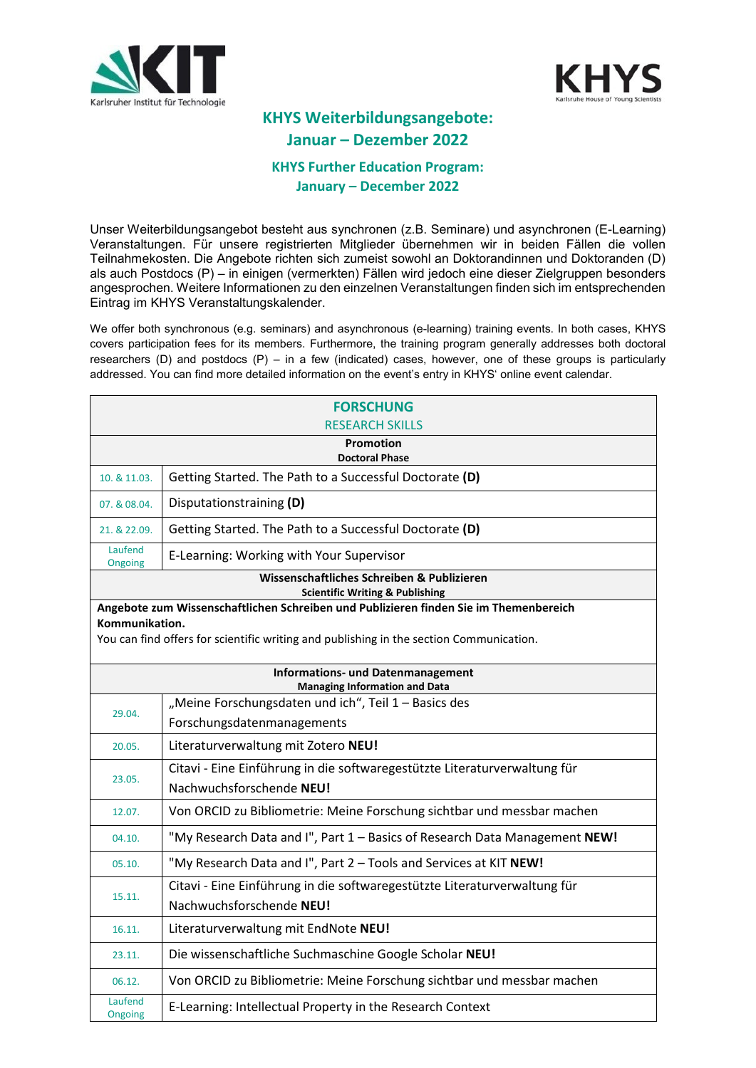



## **KHYS Weiterbildungsangebote: Januar – Dezember 2022**

### **KHYS Further Education Program: January – December 2022**

Unser Weiterbildungsangebot besteht aus synchronen (z.B. Seminare) und asynchronen (E-Learning) Veranstaltungen. Für unsere registrierten Mitglieder übernehmen wir in beiden Fällen die vollen Teilnahmekosten. Die Angebote richten sich zumeist sowohl an Doktorandinnen und Doktoranden (D) als auch Postdocs (P) – in einigen (vermerkten) Fällen wird jedoch eine dieser Zielgruppen besonders angesprochen. Weitere Informationen zu den einzelnen Veranstaltungen finden sich im entsprechenden Eintrag im KHYS Veranstaltungskalender.

We offer both synchronous (e.g. seminars) and asynchronous (e-learning) training events. In both cases, KHYS covers participation fees for its members. Furthermore, the training program generally addresses both doctoral researchers (D) and postdocs (P) – in a few (indicated) cases, however, one of these groups is particularly addressed. You can find more detailed information on the event's entry in KHYS' online event calendar.

|                                                                                          | <b>FORSCHUNG</b><br><b>RESEARCH SKILLS</b>                                              |
|------------------------------------------------------------------------------------------|-----------------------------------------------------------------------------------------|
|                                                                                          | <b>Promotion</b><br><b>Doctoral Phase</b>                                               |
| 10. & 11.03.                                                                             | Getting Started. The Path to a Successful Doctorate (D)                                 |
| 07. & 08.04.                                                                             | Disputationstraining (D)                                                                |
| 21. & 22.09.                                                                             | Getting Started. The Path to a Successful Doctorate (D)                                 |
| Laufend<br>Ongoing                                                                       | E-Learning: Working with Your Supervisor                                                |
| Wissenschaftliches Schreiben & Publizieren<br><b>Scientific Writing &amp; Publishing</b> |                                                                                         |
|                                                                                          | Angebote zum Wissenschaftlichen Schreiben und Publizieren finden Sie im Themenbereich   |
| Kommunikation.                                                                           | You can find offers for scientific writing and publishing in the section Communication. |
|                                                                                          |                                                                                         |
| <b>Informations- und Datenmanagement</b><br><b>Managing Information and Data</b>         |                                                                                         |
| 29.04.                                                                                   | "Meine Forschungsdaten und ich", Teil 1 - Basics des                                    |
|                                                                                          | Forschungsdatenmanagements                                                              |
| 20.05.                                                                                   | Literaturverwaltung mit Zotero NEU!                                                     |
| 23.05.                                                                                   | Citavi - Eine Einführung in die softwaregestützte Literaturverwaltung für               |
|                                                                                          | Nachwuchsforschende NEU!                                                                |
| 12.07.                                                                                   | Von ORCID zu Bibliometrie: Meine Forschung sichtbar und messbar machen                  |
| 04.10.                                                                                   | "My Research Data and I", Part 1 - Basics of Research Data Management NEW!              |
| 05.10.                                                                                   | "My Research Data and I", Part 2 - Tools and Services at KIT NEW!                       |
| 15.11.                                                                                   | Citavi - Eine Einführung in die softwaregestützte Literaturverwaltung für               |
|                                                                                          | Nachwuchsforschende NEU!                                                                |
| 16.11.                                                                                   | Literaturverwaltung mit EndNote NEU!                                                    |
| 23.11.                                                                                   | Die wissenschaftliche Suchmaschine Google Scholar NEU!                                  |
| 06.12.                                                                                   | Von ORCID zu Bibliometrie: Meine Forschung sichtbar und messbar machen                  |
| Laufend<br>Ongoing                                                                       | E-Learning: Intellectual Property in the Research Context                               |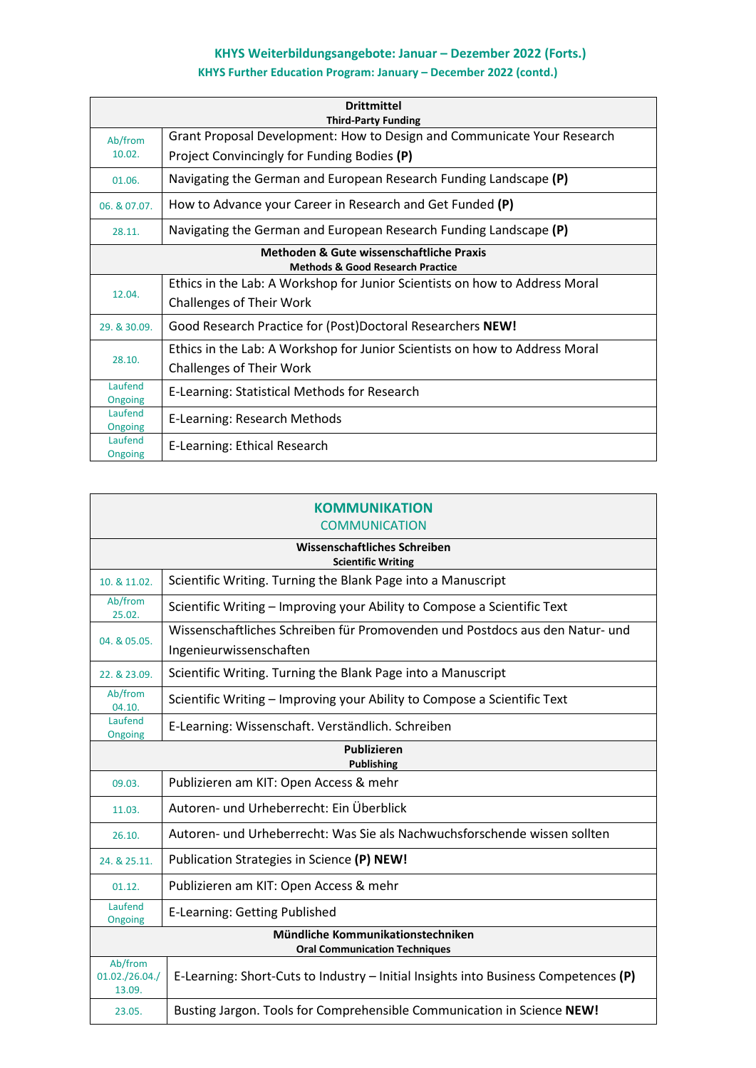## **KHYS Weiterbildungsangebote: Januar – Dezember 2022 (Forts.)**

### **KHYS Further Education Program: January – December 2022 (contd.)**

|                                                                                         | <b>Drittmittel</b><br><b>Third-Party Funding</b>                            |
|-----------------------------------------------------------------------------------------|-----------------------------------------------------------------------------|
| Ab/from                                                                                 | Grant Proposal Development: How to Design and Communicate Your Research     |
| 10.02.                                                                                  | Project Convincingly for Funding Bodies (P)                                 |
| 01.06.                                                                                  | Navigating the German and European Research Funding Landscape (P)           |
| 06. & 07.07.                                                                            | How to Advance your Career in Research and Get Funded (P)                   |
| 28.11.                                                                                  | Navigating the German and European Research Funding Landscape (P)           |
| Methoden & Gute wissenschaftliche Praxis<br><b>Methods &amp; Good Research Practice</b> |                                                                             |
| 12.04.                                                                                  | Ethics in the Lab: A Workshop for Junior Scientists on how to Address Moral |
|                                                                                         | <b>Challenges of Their Work</b>                                             |
| 29. & 30.09.                                                                            | Good Research Practice for (Post)Doctoral Researchers NEW!                  |
|                                                                                         | Ethics in the Lab: A Workshop for Junior Scientists on how to Address Moral |
| 28.10.                                                                                  | <b>Challenges of Their Work</b>                                             |
| Laufend<br>Ongoing                                                                      | E-Learning: Statistical Methods for Research                                |
| Laufend<br>Ongoing                                                                      | E-Learning: Research Methods                                                |
| Laufend<br>Ongoing                                                                      | E-Learning: Ethical Research                                                |

|                                     | <b>KOMMUNIKATION</b><br><b>COMMUNICATION</b>                                                            |
|-------------------------------------|---------------------------------------------------------------------------------------------------------|
|                                     | Wissenschaftliches Schreiben<br><b>Scientific Writing</b>                                               |
| 10. & 11.02.                        | Scientific Writing. Turning the Blank Page into a Manuscript                                            |
| Ab/from<br>25.02.                   | Scientific Writing - Improving your Ability to Compose a Scientific Text                                |
| 04. & 05.05.                        | Wissenschaftliches Schreiben für Promovenden und Postdocs aus den Natur- und<br>Ingenieurwissenschaften |
| 22. & 23.09.                        | Scientific Writing. Turning the Blank Page into a Manuscript                                            |
| Ab/from<br>04.10.                   | Scientific Writing - Improving your Ability to Compose a Scientific Text                                |
| Laufend<br>Ongoing                  | E-Learning: Wissenschaft. Verständlich. Schreiben                                                       |
|                                     | <b>Publizieren</b><br><b>Publishing</b>                                                                 |
| 09.03.                              | Publizieren am KIT: Open Access & mehr                                                                  |
| 11.03.                              | Autoren- und Urheberrecht: Ein Überblick                                                                |
| 26.10.                              | Autoren- und Urheberrecht: Was Sie als Nachwuchsforschende wissen sollten                               |
| 24. & 25.11.                        | Publication Strategies in Science (P) NEW!                                                              |
| 01.12.                              | Publizieren am KIT: Open Access & mehr                                                                  |
| Laufend<br>Ongoing                  | <b>E-Learning: Getting Published</b>                                                                    |
|                                     | Mündliche Kommunikationstechniken<br><b>Oral Communication Techniques</b>                               |
| Ab/from<br>01.02./26.04./<br>13.09. | E-Learning: Short-Cuts to Industry - Initial Insights into Business Competences (P)                     |
| 23.05.                              | Busting Jargon. Tools for Comprehensible Communication in Science NEW!                                  |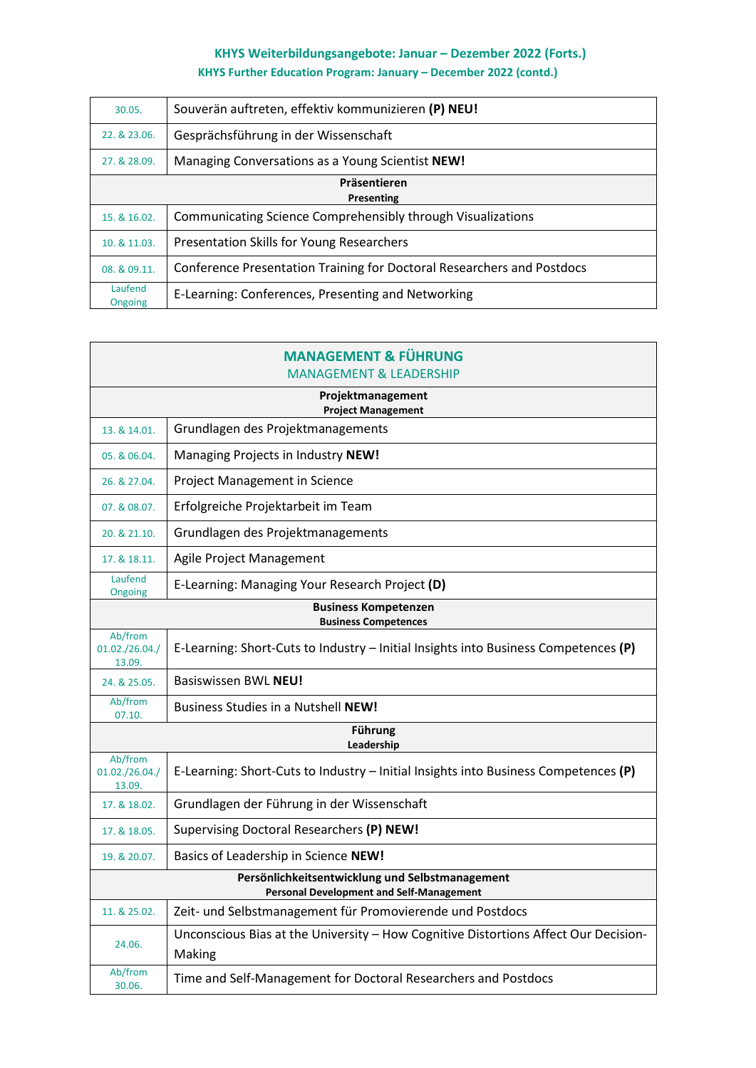# **KHYS Weiterbildungsangebote: Januar – Dezember 2022 (Forts.)**

**KHYS Further Education Program: January – December 2022 (contd.)**

| 30.05.                     | Souverän auftreten, effektiv kommunizieren (P) NEU!                    |
|----------------------------|------------------------------------------------------------------------|
| 22. & 23.06.               | Gesprächsführung in der Wissenschaft                                   |
| 27. & 28.09.               | Managing Conversations as a Young Scientist NEW!                       |
| Präsentieren<br>Presenting |                                                                        |
| 15. & 16.02.               | Communicating Science Comprehensibly through Visualizations            |
| 10. & 11.03.               | Presentation Skills for Young Researchers                              |
| 08. & 09.11.               | Conference Presentation Training for Doctoral Researchers and Postdocs |
| Laufend<br>Ongoing         | E-Learning: Conferences, Presenting and Networking                     |

|                                     | <b>MANAGEMENT &amp; FÜHRUNG</b><br><b>MANAGEMENT &amp; LEADERSHIP</b>                              |
|-------------------------------------|----------------------------------------------------------------------------------------------------|
|                                     | Projektmanagement                                                                                  |
| 13. & 14.01.                        | <b>Project Management</b><br>Grundlagen des Projektmanagements                                     |
| 05. & 06.04.                        | Managing Projects in Industry NEW!                                                                 |
| 26. & 27.04.                        | Project Management in Science                                                                      |
| 07. & 08.07.                        | Erfolgreiche Projektarbeit im Team                                                                 |
| 20. & 21.10.                        | Grundlagen des Projektmanagements                                                                  |
| 17. & 18.11.                        | Agile Project Management                                                                           |
| Laufend<br>Ongoing                  | E-Learning: Managing Your Research Project (D)                                                     |
|                                     | <b>Business Kompetenzen</b><br><b>Business Competences</b>                                         |
| Ab/from<br>01.02./26.04./<br>13.09. | E-Learning: Short-Cuts to Industry - Initial Insights into Business Competences (P)                |
| 24. & 25.05.                        | Basiswissen BWL NEU!                                                                               |
| Ab/from<br>07.10.                   | <b>Business Studies in a Nutshell NEW!</b>                                                         |
| <b>Führung</b><br>Leadership        |                                                                                                    |
| Ab/from<br>01.02./26.04./<br>13.09. | E-Learning: Short-Cuts to Industry - Initial Insights into Business Competences (P)                |
| 17. & 18.02.                        | Grundlagen der Führung in der Wissenschaft                                                         |
| 17. & 18.05.                        | Supervising Doctoral Researchers (P) NEW!                                                          |
| 19. & 20.07.                        | Basics of Leadership in Science NEW!                                                               |
|                                     | Persönlichkeitsentwicklung und Selbstmanagement<br><b>Personal Development and Self-Management</b> |
| 11. & 25.02.                        | Zeit- und Selbstmanagement für Promovierende und Postdocs                                          |
| 24.06.                              | Unconscious Bias at the University - How Cognitive Distortions Affect Our Decision-<br>Making      |
| Ab/from<br>30.06.                   | Time and Self-Management for Doctoral Researchers and Postdocs                                     |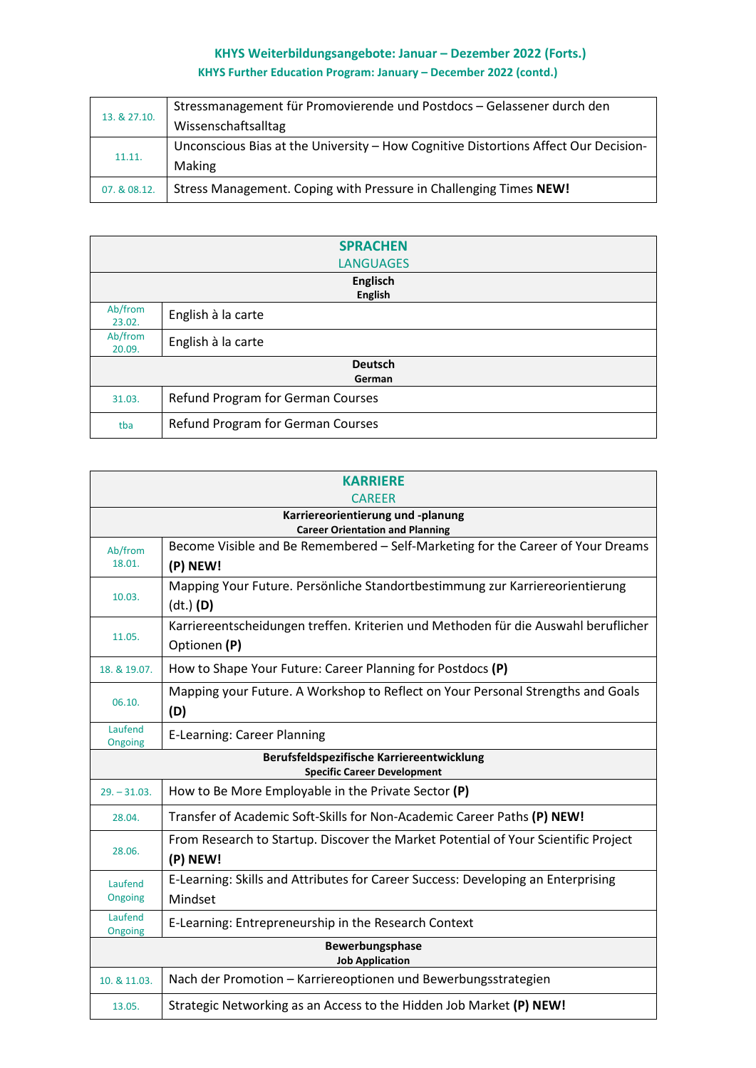## **KHYS Weiterbildungsangebote: Januar – Dezember 2022 (Forts.) KHYS Further Education Program: January – December 2022 (contd.)**

|              | Stressmanagement für Promovierende und Postdocs - Gelassener durch den              |
|--------------|-------------------------------------------------------------------------------------|
| 13. & 27.10. | Wissenschaftsalltag                                                                 |
| 11.11.       | Unconscious Bias at the University - How Cognitive Distortions Affect Our Decision- |
|              | Making                                                                              |
| 07. & 08.12. | Stress Management. Coping with Pressure in Challenging Times NEW!                   |

|                   | <b>SPRACHEN</b>                   |
|-------------------|-----------------------------------|
|                   | <b>LANGUAGES</b>                  |
|                   | <b>Englisch</b>                   |
|                   | <b>English</b>                    |
| Ab/from<br>23.02. | English à la carte                |
| Ab/from<br>20.09. | English à la carte                |
|                   | <b>Deutsch</b>                    |
|                   | German                            |
| 31.03.            | Refund Program for German Courses |
| tba               | Refund Program for German Courses |

|                    | <b>KARRIERE</b><br><b>CAREER</b>                                                                   |  |
|--------------------|----------------------------------------------------------------------------------------------------|--|
|                    | Karriereorientierung und -planung<br><b>Career Orientation and Planning</b>                        |  |
| Ab/from<br>18.01.  | Become Visible and Be Remembered - Self-Marketing for the Career of Your Dreams<br>(P) NEW!        |  |
| 10.03.             | Mapping Your Future. Persönliche Standortbestimmung zur Karriereorientierung<br>$(dt.)$ (D)        |  |
| 11.05.             | Karriereentscheidungen treffen. Kriterien und Methoden für die Auswahl beruflicher<br>Optionen (P) |  |
| 18. & 19.07.       | How to Shape Your Future: Career Planning for Postdocs (P)                                         |  |
| 06.10.             | Mapping your Future. A Workshop to Reflect on Your Personal Strengths and Goals<br>(D)             |  |
| Laufend<br>Ongoing | <b>E-Learning: Career Planning</b>                                                                 |  |
|                    | Berufsfeldspezifische Karriereentwicklung<br><b>Specific Career Development</b>                    |  |
| $29. - 31.03.$     | How to Be More Employable in the Private Sector (P)                                                |  |
| 28.04.             | Transfer of Academic Soft-Skills for Non-Academic Career Paths (P) NEW!                            |  |
| 28.06.             | From Research to Startup. Discover the Market Potential of Your Scientific Project<br>(P) NEW!     |  |
| Laufend<br>Ongoing | E-Learning: Skills and Attributes for Career Success: Developing an Enterprising<br>Mindset        |  |
| Laufend<br>Ongoing | E-Learning: Entrepreneurship in the Research Context                                               |  |
|                    | Bewerbungsphase<br><b>Job Application</b>                                                          |  |
| 10. & 11.03.       | Nach der Promotion - Karriereoptionen und Bewerbungsstrategien                                     |  |
| 13.05.             | Strategic Networking as an Access to the Hidden Job Market (P) NEW!                                |  |